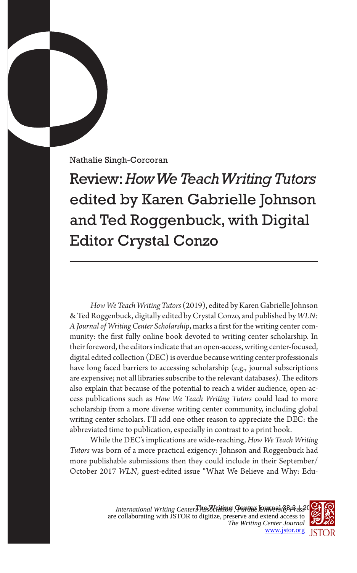Nathalie Singh-Corcoran

Review: *How We Teach Writing Tutors* edited by Karen Gabrielle Johnson and Ted Roggenbuck, with Digital Editor Crystal Conzo

*How We Teach Writing Tutors* (2019), edited by Karen Gabrielle Johnson & Ted Roggenbuck, digitally edited by Crystal Conzo, and published by *WLN: A Journal of Writing Center Scholarship*, marks a first for the writing center community: the first fully online book devoted to writing center scholarship. In their foreword, the editors indicate that an open-access, writing center-focused, digital edited collection (DEC) is overdue because writing center professionals have long faced barriers to accessing scholarship (e.g., journal subscriptions are expensive; not all libraries subscribe to the relevant databases). The editors also explain that because of the potential to reach a wider audience, open-access publications such as *How We Teach Writing Tutors* could lead to more scholarship from a more diverse writing center community, including global writing center scholars. I'll add one other reason to appreciate the DEC: the abbreviated time to publication, especially in contrast to a print book.

While the DEC's implications are wide-reaching, *How We Teach Writing Tutors* was born of a more practical exigency: Johnson and Roggenbuck had more publishable submissions then they could include in their September/ October 2017 *WLN*, guest-edited issue "What We Believe and Why: Edu-

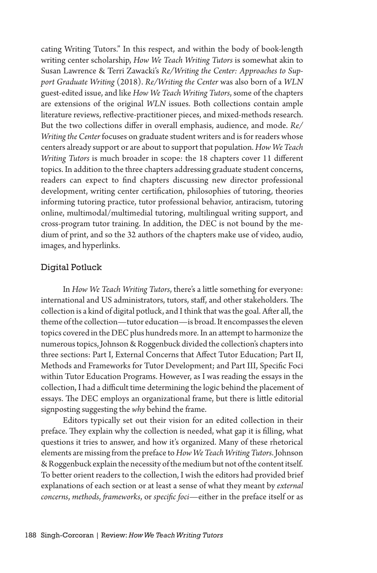cating Writing Tutors." In this respect, and within the body of book-length writing center scholarship, *How We Teach Writing Tutors* is somewhat akin to Susan Lawrence & Terri Zawacki's *Re/Writing the Center: Approaches to Support Graduate Writing* (2018). *Re/Writing the Center* was also born of a *WLN*  guest-edited issue, and like *How We Teach Writing Tutors*, some of the chapters are extensions of the original *WLN* issues. Both collections contain ample literature reviews, reflective-practitioner pieces, and mixed-methods research. But the two collections differ in overall emphasis, audience, and mode. *Re/ Writing the Center* focuses on graduate student writers and is for readers whose centers already support or are about to support that population. *How We Teach Writing Tutors* is much broader in scope: the 18 chapters cover 11 different topics. In addition to the three chapters addressing graduate student concerns, readers can expect to find chapters discussing new director professional development, writing center certification, philosophies of tutoring, theories informing tutoring practice, tutor professional behavior, antiracism, tutoring online, multimodal/multimedial tutoring, multilingual writing support, and cross-program tutor training. In addition, the DEC is not bound by the medium of print, and so the 32 authors of the chapters make use of video, audio, images, and hyperlinks.

## Digital Potluck

In *How We Teach Writing Tutors*, there's a little something for everyone: international and US administrators, tutors, staff, and other stakeholders. The collection is a kind of digital potluck, and I think that was the goal. After all, the theme of the collection—tutor education—is broad. It encompasses the eleven topics covered in the DEC plus hundreds more. In an attempt to harmonize the numerous topics, Johnson & Roggenbuck divided the collection's chapters into three sections: Part I, External Concerns that Affect Tutor Education; Part II, Methods and Frameworks for Tutor Development; and Part III, Specific Foci within Tutor Education Programs. However, as I was reading the essays in the collection, I had a difficult time determining the logic behind the placement of essays. The DEC employs an organizational frame, but there is little editorial signposting suggesting the *why* behind the frame.

Editors typically set out their vision for an edited collection in their preface. They explain why the collection is needed, what gap it is filling, what questions it tries to answer, and how it's organized. Many of these rhetorical elements are missing from the preface to *How We Teach Writing Tutors*. Johnson & Roggenbuck explain the necessity of the medium but not of the content itself. To better orient readers to the collection, I wish the editors had provided brief explanations of each section or at least a sense of what they meant by *external concerns*, *methods*, *frameworks*, or *specific foci*—either in the preface itself or as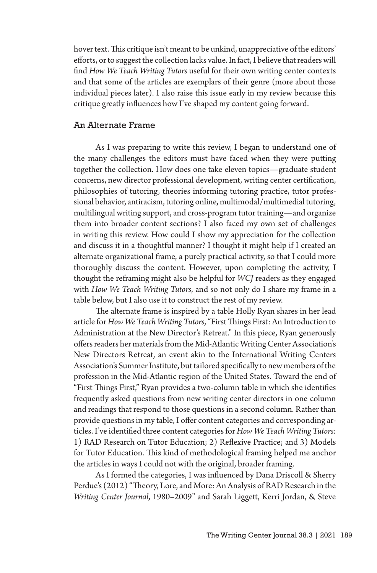hover text. This critique isn't meant to be unkind, unappreciative of the editors' efforts, or to suggest the collection lacks value. In fact, I believe that readers will find *How We Teach Writing Tutors* useful for their own writing center contexts and that some of the articles are exemplars of their genre (more about those individual pieces later). I also raise this issue early in my review because this critique greatly influences how I've shaped my content going forward.

## An Alternate Frame

As I was preparing to write this review, I began to understand one of the many challenges the editors must have faced when they were putting together the collection. How does one take eleven topics—graduate student concerns, new director professional development, writing center certification, philosophies of tutoring, theories informing tutoring practice, tutor professional behavior, antiracism, tutoring online, multimodal/multimedial tutoring, multilingual writing support, and cross-program tutor training—and organize them into broader content sections? I also faced my own set of challenges in writing this review. How could I show my appreciation for the collection and discuss it in a thoughtful manner? I thought it might help if I created an alternate organizational frame, a purely practical activity, so that I could more thoroughly discuss the content. However, upon completing the activity, I thought the reframing might also be helpful for *WCJ* readers as they engaged with *How We Teach Writing Tutors*, and so not only do I share my frame in a table below, but I also use it to construct the rest of my review.

The alternate frame is inspired by a table Holly Ryan shares in her lead article for *How We Teach Writing Tutors*, "First Things First: An Introduction to Administration at the New Director's Retreat." In this piece, Ryan generously offers readers her materials from the Mid-Atlantic Writing Center Association's New Directors Retreat, an event akin to the International Writing Centers Association's Summer Institute, but tailored specifically to new members of the profession in the Mid-Atlantic region of the United States. Toward the end of "First Things First," Ryan provides a two-column table in which she identifies frequently asked questions from new writing center directors in one column and readings that respond to those questions in a second column. Rather than provide questions in my table, I offer content categories and corresponding articles. I've identified three content categories for *How We Teach Writing Tutors*: 1) RAD Research on Tutor Education; 2) Reflexive Practice; and 3) Models for Tutor Education. This kind of methodological framing helped me anchor the articles in ways I could not with the original, broader framing.

As I formed the categories, I was influenced by Dana Driscoll & Sherry Perdue's (2012) "Theory, Lore, and More: An Analysis of RAD Research in the *Writing Center Journal*, 1980–2009" and Sarah Liggett, Kerri Jordan, & Steve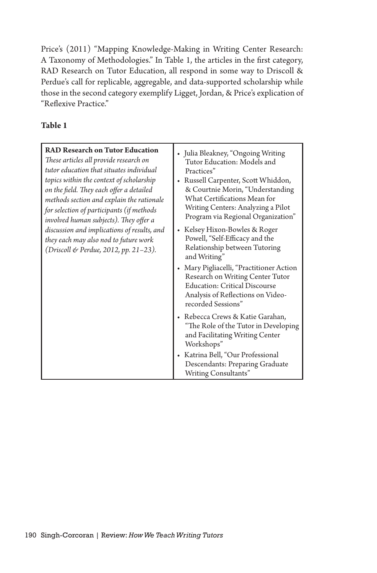Price's (2011) "Mapping Knowledge-Making in Writing Center Research: A Taxonomy of Methodologies." In Table 1, the articles in the first category, RAD Research on Tutor Education, all respond in some way to Driscoll & Perdue's call for replicable, aggregable, and data-supported scholarship while those in the second category exemplify Ligget, Jordan, & Price's explication of "Reflexive Practice."

## **Table 1**

| <b>RAD Research on Tutor Education</b><br>These articles all provide research on<br>tutor education that situates individual<br>topics within the context of scholarship<br>on the field. They each offer a detailed<br>methods section and explain the rationale<br>for selection of participants (if methods<br>involved human subjects). They offer a<br>discussion and implications of results, and<br>they each may also nod to future work<br>(Driscoll & Perdue, 2012, pp. 21–23). | • Julia Bleakney, "Ongoing Writing<br>Tutor Education: Models and<br>Practices"<br>Russell Carpenter, Scott Whiddon,<br>٠<br>& Courtnie Morin, "Understanding<br>What Certifications Mean for<br>Writing Centers: Analyzing a Pilot<br>Program via Regional Organization"<br>• Kelsey Hixon-Bowles & Roger<br>Powell, "Self-Efficacy and the<br>Relationship between Tutoring<br>and Writing"<br>• Mary Pigliacelli, "Practitioner Action<br>Research on Writing Center Tutor<br><b>Education: Critical Discourse</b><br>Analysis of Reflections on Video-<br>recorded Sessions"<br>• Rebecca Crews & Katie Garahan,<br>"The Role of the Tutor in Developing<br>and Facilitating Writing Center<br>Workshops"<br>• Katrina Bell, "Our Professional |
|-------------------------------------------------------------------------------------------------------------------------------------------------------------------------------------------------------------------------------------------------------------------------------------------------------------------------------------------------------------------------------------------------------------------------------------------------------------------------------------------|----------------------------------------------------------------------------------------------------------------------------------------------------------------------------------------------------------------------------------------------------------------------------------------------------------------------------------------------------------------------------------------------------------------------------------------------------------------------------------------------------------------------------------------------------------------------------------------------------------------------------------------------------------------------------------------------------------------------------------------------------|
|                                                                                                                                                                                                                                                                                                                                                                                                                                                                                           | Descendants: Preparing Graduate<br>Writing Consultants"                                                                                                                                                                                                                                                                                                                                                                                                                                                                                                                                                                                                                                                                                            |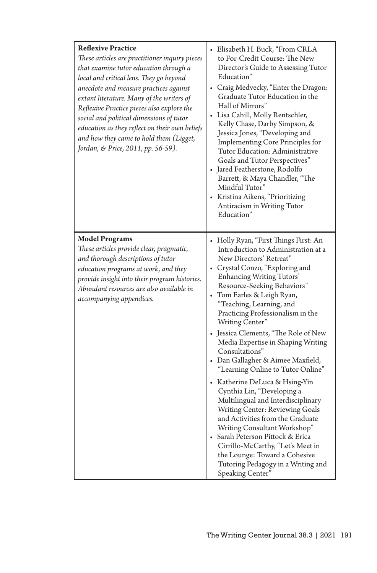| <b>Reflexive Practice</b><br>These articles are practitioner inquiry pieces<br>that examine tutor education through a<br>local and critical lens. They go beyond<br>anecdote and measure practices against<br>extant literature. Many of the writers of<br>Reflexive Practice pieces also explore the<br>social and political dimensions of tutor<br>education as they reflect on their own beliefs<br>and how they came to hold them (Ligget,<br>Jordan, & Price, 2011, pp. 56-59). | Elisabeth H. Buck, "From CRLA<br>to For-Credit Course: The New<br>Director's Guide to Assessing Tutor<br>Education"<br>• Craig Medvecky, "Enter the Dragon:<br>Graduate Tutor Education in the<br>Hall of Mirrors"<br>· Lisa Cahill, Molly Rentschler,<br>Kelly Chase, Darby Simpson, &<br>Jessica Jones, "Developing and<br><b>Implementing Core Principles for</b><br>Tutor Education: Administrative<br>Goals and Tutor Perspectives"<br>• Jared Featherstone, Rodolfo<br>Barrett, & Maya Chandler, "The<br>Mindful Tutor"<br>• Kristina Aikens, "Prioritizing<br>Antiracism in Writing Tutor<br>Education"                                                                                                                                                                                                                                                                     |
|--------------------------------------------------------------------------------------------------------------------------------------------------------------------------------------------------------------------------------------------------------------------------------------------------------------------------------------------------------------------------------------------------------------------------------------------------------------------------------------|------------------------------------------------------------------------------------------------------------------------------------------------------------------------------------------------------------------------------------------------------------------------------------------------------------------------------------------------------------------------------------------------------------------------------------------------------------------------------------------------------------------------------------------------------------------------------------------------------------------------------------------------------------------------------------------------------------------------------------------------------------------------------------------------------------------------------------------------------------------------------------|
| <b>Model Programs</b><br>These articles provide clear, pragmatic,<br>and thorough descriptions of tutor<br>education programs at work, and they<br>provide insight into their program histories.<br>Abundant resources are also available in<br>accompanying appendices.                                                                                                                                                                                                             | • Holly Ryan, "First Things First: An<br>Introduction to Administration at a<br>New Directors' Retreat"<br>• Crystal Conzo, "Exploring and<br>Enhancing Writing Tutors'<br>Resource-Seeking Behaviors"<br>• Tom Earles & Leigh Ryan,<br>"Teaching, Learning, and<br>Practicing Professionalism in the<br>Writing Center"<br>• Jessica Clements, "The Role of New<br>Media Expertise in Shaping Writing<br>Consultations"<br>• Dan Gallagher & Aimee Maxfield,<br>"Learning Online to Tutor Online"<br>• Katherine DeLuca & Hsing-Yin<br>Cynthia Lin, "Developing a<br>Multilingual and Interdisciplinary<br>Writing Center: Reviewing Goals<br>and Activities from the Graduate<br>Writing Consultant Workshop"<br>• Sarah Peterson Pittock & Erica<br>Cirrillo-McCarthy, "Let's Meet in<br>the Lounge: Toward a Cohesive<br>Tutoring Pedagogy in a Writing and<br>Speaking Center |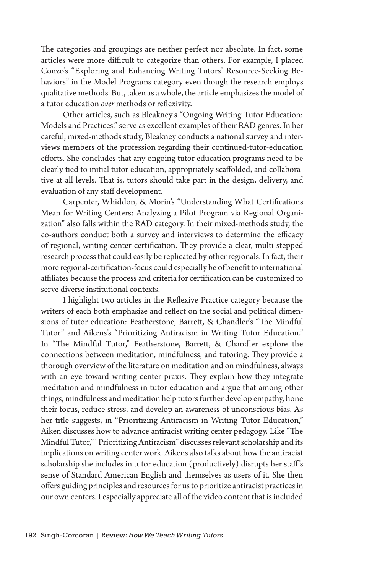The categories and groupings are neither perfect nor absolute. In fact, some articles were more difficult to categorize than others. For example, I placed Conzo's "Exploring and Enhancing Writing Tutors' Resource-Seeking Behaviors" in the Model Programs category even though the research employs qualitative methods. But, taken as a whole, the article emphasizes the model of a tutor education *over* methods or reflexivity.

Other articles, such as Bleakney's "Ongoing Writing Tutor Education: Models and Practices," serve as excellent examples of their RAD genres. In her careful, mixed-methods study, Bleakney conducts a national survey and interviews members of the profession regarding their continued-tutor-education efforts. She concludes that any ongoing tutor education programs need to be clearly tied to initial tutor education, appropriately scaffolded, and collaborative at all levels. That is, tutors should take part in the design, delivery, and evaluation of any staff development.

Carpenter, Whiddon, & Morin's "Understanding What Certifications Mean for Writing Centers: Analyzing a Pilot Program via Regional Organization" also falls within the RAD category. In their mixed-methods study, the co-authors conduct both a survey and interviews to determine the efficacy of regional, writing center certification. They provide a clear, multi-stepped research process that could easily be replicated by other regionals. In fact, their more regional-certification-focus could especially be of benefit to international affiliates because the process and criteria for certification can be customized to serve diverse institutional contexts.

I highlight two articles in the Reflexive Practice category because the writers of each both emphasize and reflect on the social and political dimensions of tutor education: Featherstone, Barrett, & Chandler's "The Mindful Tutor" and Aikens's "Prioritizing Antiracism in Writing Tutor Education." In "The Mindful Tutor," Featherstone, Barrett, & Chandler explore the connections between meditation, mindfulness, and tutoring. They provide a thorough overview of the literature on meditation and on mindfulness, always with an eye toward writing center praxis. They explain how they integrate meditation and mindfulness in tutor education and argue that among other things, mindfulness and meditation help tutors further develop empathy, hone their focus, reduce stress, and develop an awareness of unconscious bias. As her title suggests, in "Prioritizing Antiracism in Writing Tutor Education," Aiken discusses how to advance antiracist writing center pedagogy. Like "The Mindful Tutor," "Prioritizing Antiracism" discusses relevant scholarship and its implications on writing center work. Aikens also talks about how the antiracist scholarship she includes in tutor education (productively) disrupts her staff 's sense of Standard American English and themselves as users of it. She then offers guiding principles and resources for us to prioritize antiracist practices in our own centers. I especially appreciate all of the video content that is included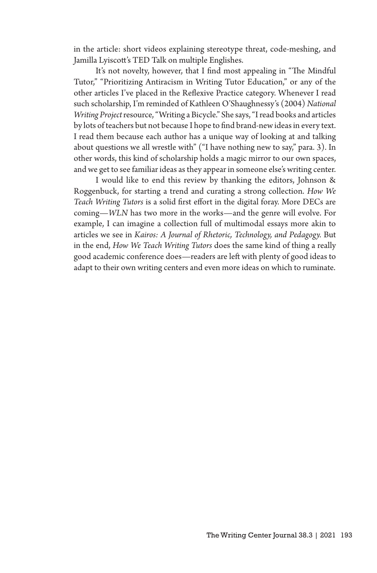in the article: short videos explaining stereotype threat, code-meshing, and Jamilla Lyiscott's TED Talk on multiple Englishes.

It's not novelty, however, that I find most appealing in "The Mindful Tutor," "Prioritizing Antiracism in Writing Tutor Education," or any of the other articles I've placed in the Reflexive Practice category. Whenever I read such scholarship, I'm reminded of Kathleen O'Shaughnessy's (2004) *National Writing Project* resource, "Writing a Bicycle." She says, "I read books and articles by lots of teachers but not because I hope to find brand-new ideas in every text. I read them because each author has a unique way of looking at and talking about questions we all wrestle with" ("I have nothing new to say," para. 3). In other words, this kind of scholarship holds a magic mirror to our own spaces, and we get to see familiar ideas as they appear in someone else's writing center.

I would like to end this review by thanking the editors, Johnson & Roggenbuck, for starting a trend and curating a strong collection. *How We Teach Writing Tutors* is a solid first effort in the digital foray. More DECs are coming—*WLN* has two more in the works—and the genre will evolve. For example, I can imagine a collection full of multimodal essays more akin to articles we see in *Kairos: A Journal of Rhetoric, Technology, and Pedagogy.* But in the end, *How We Teach Writing Tutors* does the same kind of thing a really good academic conference does—readers are left with plenty of good ideas to adapt to their own writing centers and even more ideas on which to ruminate.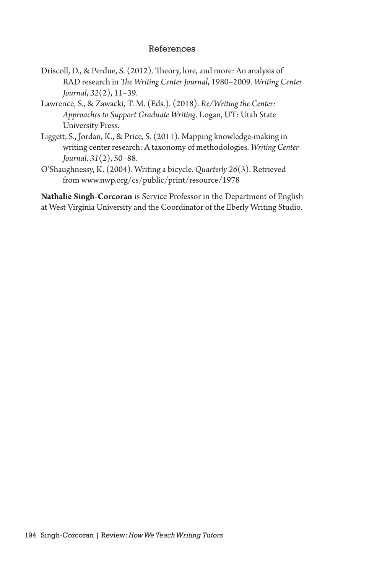## References

- Driscoll, D., & Perdue, S. (2012). Theory, lore, and more: An analysis of RAD research in *The Writing Center Journal*, 1980–2009. *Writing Center Journal*, *32*(2), 11–39.
- Lawrence, S., & Zawacki, T. M. (Eds.). (2018). *Re/Writingthe Center: Approaches to Support Graduate Writing*. Logan, UT: Utah State University Press.
- Liggett, S., Jordan, K., & Price, S. (2011). Mapping knowledge-making in writing center research: A taxonomy of methodologies. *Writing Center Journal, 31*(2), 50–88.
- O'Shaughnessy, K. (2004). Writing a bicycle. *Quarterly 26*(3). Retrieved from www.nwp.org/cs/public/print/resource/1978

**Nathalie Singh-Corcoran** is Service Professor in the Department of English at West Virginia University and the Coordinator of the Eberly Writing Studio.